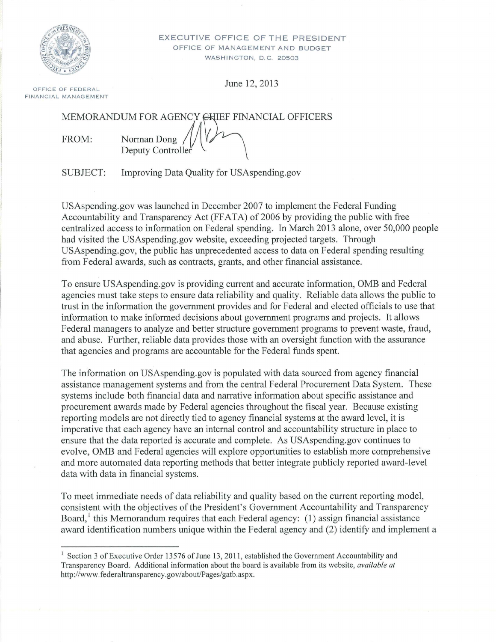

EXECUTIVE OFFICE OF THE PRESIDENT OFFICE OF MANAGEMENT AND BUDGET WASHINGTON, D.C. 20503

June 12, 2013 OFFICE OF FEDERAL

FINANCIAL MANAGEMENT

MEMORANDUM FOR AGENCY GHIEF FINANCIAL OFFICERS FROM: Norman Dong Deputy Controller

SUBJECT: Improving Data Quality for USAspending.gov

USAspending.gov was launched in December 2007 to implement the Federal Funding Accountability and Transparency Act (FFATA) of 2006 by providing the public with free centralized access to information on Federal spending. In March 2013 alone, over 50,000 people had visited the USAspending.gov website, exceeding projected targets. Through USAspending.gov, the public has unprecedented access to data on Federal spending resulting from Federal awards, such as contracts, grants, and other financial assistance.

To ensure USAspending.gov is providing current and accurate information, OMB and Federal agencies must take steps to ensure data reliability and quality. Reliable data allows the public to trust in the information the government provides and for Federal and elected officials to use that information to make informed decisions about government programs and projects. It allows Federal managers to analyze and better structure government programs to prevent waste, fraud, and abuse. Further, reliable data provides those with an oversight function with the assurance that agencies and programs are accountable for the Federal funds spent.

The information on USAspending.gov is populated with data sourced from agency financial assistance management systems and from the central Federal Procurement Data System. These systems include both financial data and narrative information about specific assistance and procurement awards made by Federal agencies throughout the fiscal year. Because existing reporting models are not directly tied to agency financial systems at the award level, it is imperative that each agency have an internal control and accountability structure in place to ensure that the data reported is accurate and complete. As USAspending.gov continues to evolve, OMB and Federal agencies will explore opportunities to establish more comprehensive and more automated data reporting methods that better integrate publicly reported award-level data with data in financial systems.

To meet immediate needs of data reliability and quality based on the current reporting model, consistent with the objectives of the President's Government Accountability and Transparency Board,  $\frac{1}{1}$  this Memorandum requires that each Federal agency: (1) assign financial assistance award identification numbers unique within the Federal agency and (2) identify and implement a

<sup>1</sup> Section 3 of Executive Order 13576 of June 13, 2011, established the Government Accountability and Transparency Board. Additional information about the board is available from its website, *available at*  http://www.federaltransparency .gov/about/Pages/gatb.aspx.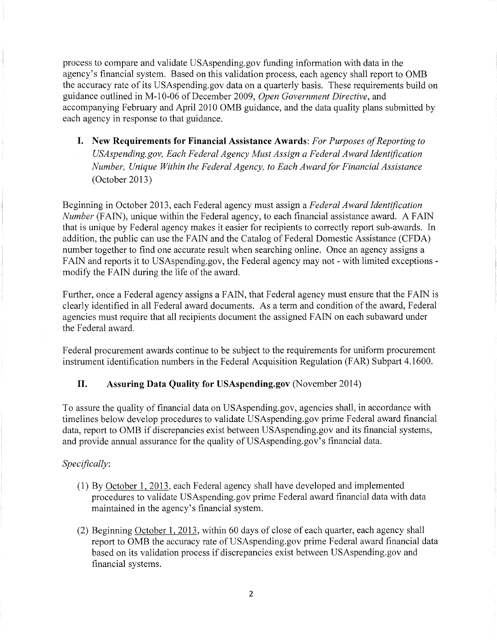process to compare and validate USAspending.gov funding information with data in the agency's financial system. Based on this validation process, each agency shall report to OMB the accuracy rate of its USAspending.gov data on a quarterly basis. These requirements build on guidance outlined in M-10-06 ofDecember 2009, *Open Government Directive,* and accompanying February and April2010 OMB guidance, and the data quality plans submitted by each agency in response to that guidance.

**I. New Requirements for Financial Assistance Awards:** *For Purposes ofReporting to USAspending.gov, Each Federal Agency Must Assign a Federal Award Identification Number, Unique Within the Federal Agency, to Each Award for Financial Assistance* (October 2013)

Beginning in October 2013, each Federal agency must assign a *Federal Award Identification Number* (FAIN), unique within the Federal agency, to each financial assistance award. A FAIN that is unique by Federal agency makes it easier for recipients to correctly report sub-awards. In addition, the public can use the FAIN and the Catalog of Federal Domestic Assistance (CFDA) number together to find one accurate result when searching online. Once an agency assigns a FAIN and reports it to USAspending.gov, the Federal agency may not - with limited exceptions modify the FAIN during the life of the award.

Further, once a Federal agency assigns a FAIN, that Federal agency must ensure that the FAIN is clearly identified in all Federal award documents. As a term and condition of the award, Federal agencies must require that all recipients document the assigned FAIN on each subaward under the Federal award.

Federal procurement awards continue to be subject to the requirements for uniform procurement instrument identification numbers in the Federal Acquisition Regulation (FAR) Subpart 4.1600.

## **II. Assuring Data Quality for USAspending.gov** (November 2014)

To assure the quality of financial data on USAspending.gov, agencies shall, in accordance with timelines below develop procedures to validate USAspending.gov prime Federal award financial data, report to OMB if discrepancies exist between USAspending.gov and its financial systems, and provide annual assurance for the quality of USAspending.gov's financial data.

## *Specifically:*

- (1) By October 1, 2013, each Federal agency shall have developed and implemented procedures to validate USAspending.gov prime Federal award financial data with data maintained in the agency's financial system.
- (2) Beginning October 1, 2013, within 60 days of close of each quarter, each agency shall report to OMB the accuracy rate of USAspending.gov prime Federal award financial data based on its validation process if discrepancies exist between USAspending.gov and financial systems.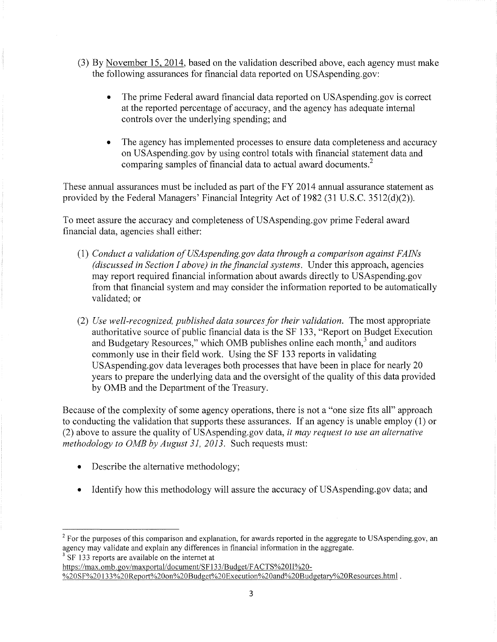- (3) By November 15, 2014, based on the validation described above, each agency must make the following assurances for financial data reported on USAspending.gov:
	- The prime Federal award financial data reported on USAspending.gov is correct at the reported percentage of accuracy, and the agency has adequate internal controls over the underlying spending; and
	- The agency has implemented processes to ensure data completeness and accuracy on USAspending.gov by using control totals with financial statement data and comparing samples of financial data to actual award documents.<sup>2</sup>

These annual assurances must be included as part of the FY 2014 annual assurance statement as provided by the Federal Managers' Financial Integrity Act of 1982 (31 U.S.C. 3512(d)(2)).

To meet assure the accuracy and completeness of USAspending.gov prime Federal award financial data, agencies shall either:

- (1) *Conduct a validation ofUSAspending.gov data through a comparison against FA!Ns (discussed in Section I above) in the financial systems.* Under this approach, agencies may report required financial information about awards directly to USAspending.gov from that financial system and may consider the information reported to be automatically validated; or
- (2) *Use well-recognized, published data sources for their validation.* The most appropriate authoritative source of public financial data is the SF 133, "Report on Budget Execution and Budgetary Resources," which OMB publishes online each month,<sup>3</sup> and auditors commonly use in their field work. Using the SF 133 reports in validating USAspending.gov data leverages both processes that have been in place for nearly 20 years to prepare the underlying data and the oversight of the quality of this data provided by OMB and the Department of the Treasury.

Because of the complexity of some agency operations, there is not a "one size fits all" approach to conducting the validation that supports these assurances. If an agency is unable employ (1) or (2) above to assure the quality of USAspending.gov data, it *may request to use an alternative methodology to OMB by August 31, 2013.* Such requests must:

- Describe the alternative methodology;
- Identify how this methodology will assure the accuracy of USAspending.gov data; and

<sup>3</sup> SF 133 reports are available on the internet at

https://max.omb.gov/maxportal/document/SF133/Budget/FACTS%20II%20-[%20SF%20 l33%20Report%20on%20Budget%20Execution%20and%20Budgetary%20Resources.html](https://max.omb.gov/maxportal/document/SF133/Budget/FACTS%20II%20-%20SF%20133%20Report%20on%20Budget%20Execution%20and%20Budgetary%20Resources.html) .

<sup>&</sup>lt;sup>2</sup> For the purposes of this comparison and explanation, for awards reported in the aggregate to USAspending.gov, an agency may validate and explain any differences in financial information in the aggregate.